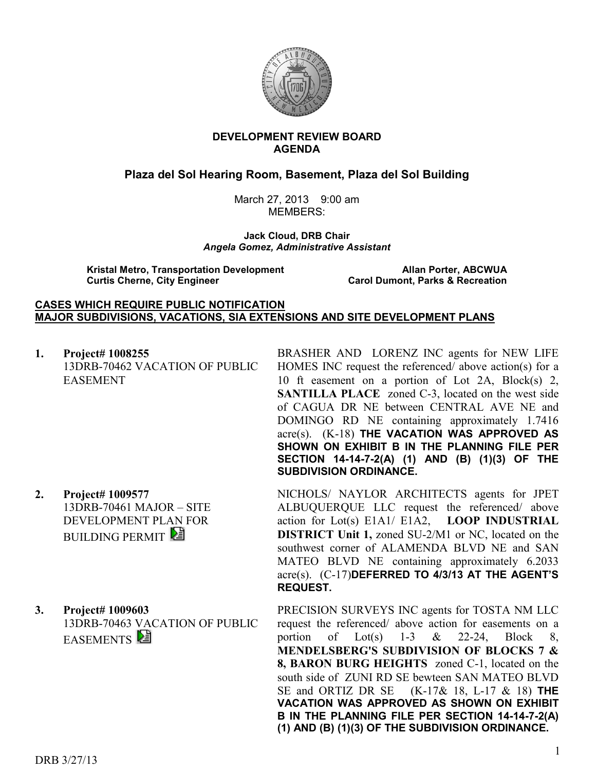

### **DEVELOPMENT REVIEW BOARD AGENDA**

# **Plaza del Sol Hearing Room, Basement, Plaza del Sol Building**

March 27, 2013 9:00 am MEMBERS:

**Jack Cloud, DRB Chair**  *Angela Gomez, Administrative Assistant* 

**Kristal Metro, Transportation Development Allan Porter, ABCWUA Curtis Cherne, City Engineer Carol Dumont, Parks & Recreation** 

### **CASES WHICH REQUIRE PUBLIC NOTIFICATION MAJOR SUBDIVISIONS, VACATIONS, SIA EXTENSIONS AND SITE DEVELOPMENT PLANS**

**1. Project# 1008255** 13DRB-70462 VACATION OF PUBLIC EASEMENT

- **2. Project# 1009577** 13DRB-70461 MAJOR – SITE DEVELOPMENT PLAN FOR **BUILDING PERMIT**
- **3. Project# 1009603** 13DRB-70463 VACATION OF PUBLIC EASEMENTS<sup>E</sup>

BRASHER AND LORENZ INC agents for NEW LIFE HOMES INC request the referenced/ above action(s) for a 10 ft easement on a portion of Lot 2A, Block(s) 2, **SANTILLA PLACE** zoned C-3, located on the west side of CAGUA DR NE between CENTRAL AVE NE and DOMINGO RD NE containing approximately 1.7416 acre(s). (K-18) **THE VACATION WAS APPROVED AS SHOWN ON EXHIBIT B IN THE PLANNING FILE PER SECTION 14-14-7-2(A) (1) AND (B) (1)(3) OF THE SUBDIVISION ORDINANCE.**

NICHOLS/ NAYLOR ARCHITECTS agents for JPET ALBUQUERQUE LLC request the referenced/ above action for Lot(s) E1A1/ E1A2, **LOOP INDUSTRIAL DISTRICT Unit 1,** zoned SU-2/M1 or NC, located on the southwest corner of ALAMENDA BLVD NE and SAN MATEO BLVD NE containing approximately 6.2033 acre(s). (C-17)**DEFERRED TO 4/3/13 AT THE AGENT'S REQUEST.** 

PRECISION SURVEYS INC agents for TOSTA NM LLC request the referenced/ above action for easements on a portion of Lot(s)  $1-3$  & 22-24, Block 8, **MENDELSBERG'S SUBDIVISION OF BLOCKS 7 & 8, BARON BURG HEIGHTS** zoned C-1, located on the south side of ZUNI RD SE bewteen SAN MATEO BLVD SE and ORTIZ DR SE (K-17& 18, L-17 & 18) **THE VACATION WAS APPROVED AS SHOWN ON EXHIBIT B IN THE PLANNING FILE PER SECTION 14-14-7-2(A) (1) AND (B) (1)(3) OF THE SUBDIVISION ORDINANCE.**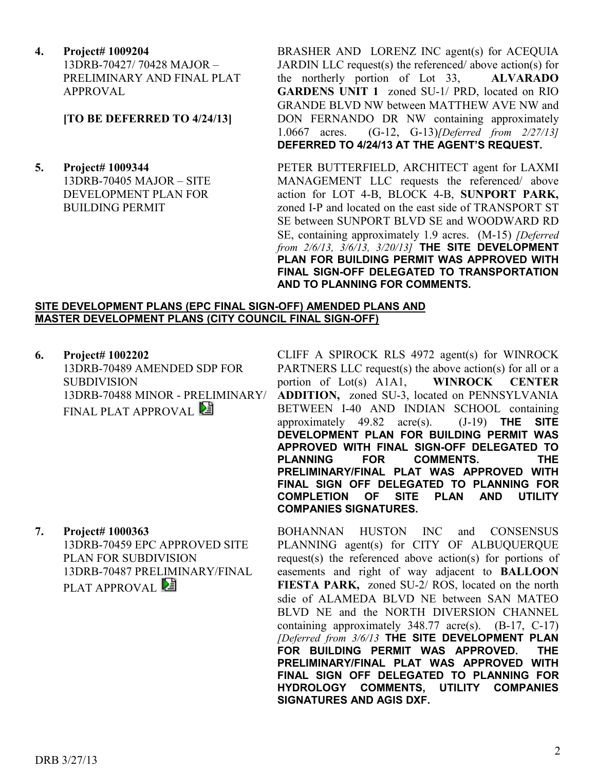**4. Project# 1009204** 13DRB-70427/ 70428 MAJOR – PRELIMINARY AND FINAL PLAT APPROVAL

## **[TO BE DEFERRED TO 4/24/13]**

**5. Project# 1009344**  13DRB-70405 MAJOR – SITE DEVELOPMENT PLAN FOR BUILDING PERMIT

BRASHER AND LORENZ INC agent(s) for ACEQUIA JARDIN LLC request(s) the referenced/ above action(s) for the northerly portion of Lot 33, **ALVARADO GARDENS UNIT 1** zoned SU-1/ PRD, located on RIO GRANDE BLVD NW between MATTHEW AVE NW and DON FERNANDO DR NW containing approximately 1.0667 acres. (G-12, G-13)*[Deferred from 2/27/13]* **DEFERRED TO 4/24/13 AT THE AGENT'S REQUEST.**

PETER BUTTERFIELD, ARCHITECT agent for LAXMI MANAGEMENT LLC requests the referenced/ above action for LOT 4-B, BLOCK 4-B, **SUNPORT PARK,** zoned I-P and located on the east side of TRANSPORT ST SE between SUNPORT BLVD SE and WOODWARD RD SE, containing approximately 1.9 acres. (M-15) *[Deferred from 2/6/13, 3/6/13, 3/20/13]* **THE SITE DEVELOPMENT PLAN FOR BUILDING PERMIT WAS APPROVED WITH FINAL SIGN-OFF DELEGATED TO TRANSPORTATION AND TO PLANNING FOR COMMENTS.**

### **SITE DEVELOPMENT PLANS (EPC FINAL SIGN-OFF) AMENDED PLANS AND MASTER DEVELOPMENT PLANS (CITY COUNCIL FINAL SIGN-OFF)**

**6. Project# 1002202** 13DRB-70489 AMENDED SDP FOR SUBDIVISION 13DRB-70488 MINOR - PRELIMINARY/ FINAL PLAT APPROVAL

**7. Project# 1000363** 13DRB-70459 EPC APPROVED SITE PLAN FOR SUBDIVISION 13DRB-70487 PRELIMINARY/FINAL PLAT APPROVAL

CLIFF A SPIROCK RLS 4972 agent(s) for WINROCK PARTNERS LLC request(s) the above action(s) for all or a portion of Lot(s) A1A1, **WINROCK CENTER ADDITION,** zoned SU-3, located on PENNSYLVANIA BETWEEN I-40 AND INDIAN SCHOOL containing approximately 49.82 acre(s). (J-19) **THE SITE DEVELOPMENT PLAN FOR BUILDING PERMIT WAS APPROVED WITH FINAL SIGN-OFF DELEGATED TO PLANNING FOR COMMENTS. THE PRELIMINARY/FINAL PLAT WAS APPROVED WITH FINAL SIGN OFF DELEGATED TO PLANNING FOR COMPLETION OF SITE PLAN AND UTILITY COMPANIES SIGNATURES.**

BOHANNAN HUSTON INC and CONSENSUS PLANNING agent(s) for CITY OF ALBUQUERQUE request(s) the referenced above action(s) for portions of easements and right of way adjacent to **BALLOON FIESTA PARK,** zoned SU-2/ ROS, located on the north sdie of ALAMEDA BLVD NE between SAN MATEO BLVD NE and the NORTH DIVERSION CHANNEL containing approximately 348.77 acre(s). (B-17, C-17) *[Deferred from 3/6/13* **THE SITE DEVELOPMENT PLAN FOR BUILDING PERMIT WAS APPROVED. THE PRELIMINARY/FINAL PLAT WAS APPROVED WITH FINAL SIGN OFF DELEGATED TO PLANNING FOR HYDROLOGY COMMENTS, UTILITY COMPANIES SIGNATURES AND AGIS DXF.**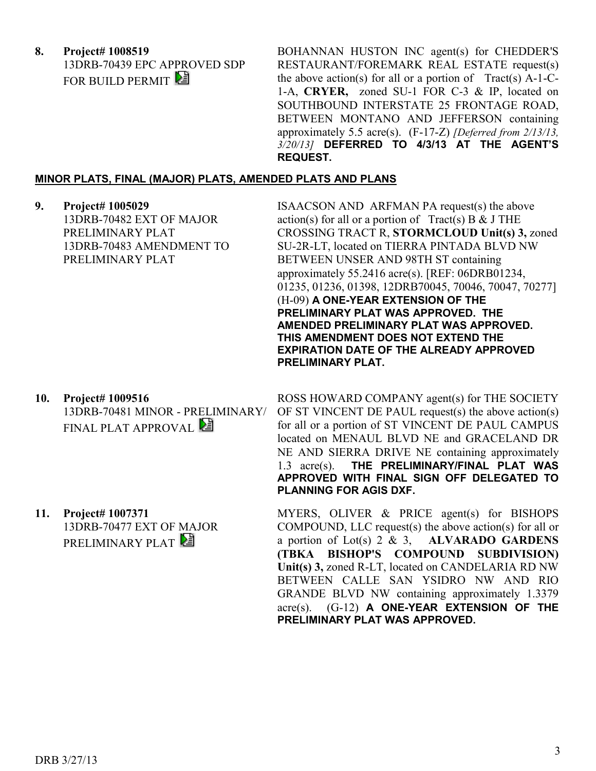**8. Project# 1008519** 13DRB-70439 EPC APPROVED SDP FOR BUILD PERMIT

BOHANNAN HUSTON INC agent(s) for CHEDDER'S RESTAURANT/FOREMARK REAL ESTATE request(s) the above action(s) for all or a portion of  $Tract(s)$  A-1-C-1-A, **CRYER,** zoned SU-1 FOR C-3 & IP, located on SOUTHBOUND INTERSTATE 25 FRONTAGE ROAD, BETWEEN MONTANO AND JEFFERSON containing approximately 5.5 acre(s). (F-17-Z) *[Deferred from 2/13/13, 3/20/13]* **DEFERRED TO 4/3/13 AT THE AGENT'S REQUEST.**

### **MINOR PLATS, FINAL (MAJOR) PLATS, AMENDED PLATS AND PLANS**

**9. Project# 1005029** 13DRB-70482 EXT OF MAJOR PRELIMINARY PLAT 13DRB-70483 AMENDMENT TO PRELIMINARY PLAT

ISAACSON AND ARFMAN PA request(s) the above action(s) for all or a portion of  $Treat(s) B & J THE$ CROSSING TRACT R, **STORMCLOUD Unit(s) 3,** zoned SU-2R-LT, located on TIERRA PINTADA BLVD NW BETWEEN UNSER AND 98TH ST containing approximately 55.2416 acre(s). [REF: 06DRB01234, 01235, 01236, 01398, 12DRB70045, 70046, 70047, 70277] (H-09) **A ONE-YEAR EXTENSION OF THE PRELIMINARY PLAT WAS APPROVED. THE AMENDED PRELIMINARY PLAT WAS APPROVED. THIS AMENDMENT DOES NOT EXTEND THE EXPIRATION DATE OF THE ALREADY APPROVED PRELIMINARY PLAT.** 

**10. Project# 1009516** 13DRB-70481 MINOR - PRELIMINARY/ FINAL PLAT APPROVAL

> 13DRB-70477 EXT OF MAJOR PRELIMINARY PLAT

for all or a portion of ST VINCENT DE PAUL CAMPUS located on MENAUL BLVD NE and GRACELAND DR NE AND SIERRA DRIVE NE containing approximately 1.3 acre(s). **THE PRELIMINARY/FINAL PLAT WAS APPROVED WITH FINAL SIGN OFF DELEGATED TO PLANNING FOR AGIS DXF.**

ROSS HOWARD COMPANY agent(s) for THE SOCIETY OF ST VINCENT DE PAUL request(s) the above action(s)

MYERS, OLIVER & PRICE agent(s) for BISHOPS COMPOUND, LLC request(s) the above action(s) for all or a portion of Lot(s) 2 & 3, **ALVARADO GARDENS (TBKA BISHOP'S COMPOUND SUBDIVISION) Unit(s) 3,** zoned R-LT, located on CANDELARIA RD NW BETWEEN CALLE SAN YSIDRO NW AND RIO GRANDE BLVD NW containing approximately 1.3379 acre(s). (G-12) **A ONE-YEAR EXTENSION OF THE PRELIMINARY PLAT WAS APPROVED.**

**11. Project# 1007371**